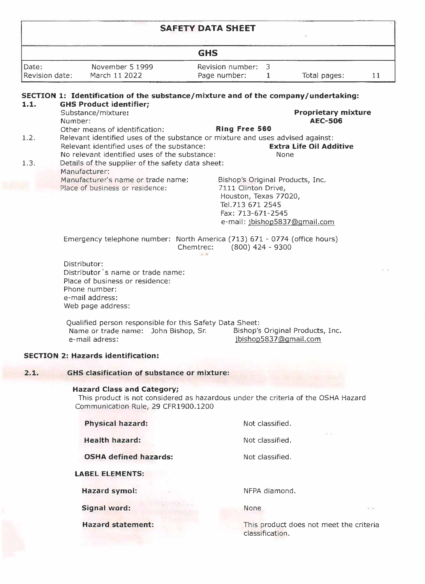|                         |                                                                                                                                                                                                                 | <b>SAFETY DATA SHEET</b>                                     |                                                                                            |                                              |        |
|-------------------------|-----------------------------------------------------------------------------------------------------------------------------------------------------------------------------------------------------------------|--------------------------------------------------------------|--------------------------------------------------------------------------------------------|----------------------------------------------|--------|
|                         |                                                                                                                                                                                                                 | <b>GHS</b>                                                   |                                                                                            |                                              |        |
| Date:<br>Revision date: | November 5 1999<br>March 11 2022                                                                                                                                                                                | Revision number:<br>Page number:                             | 3<br>$\mathbf{1}$                                                                          | Total pages:                                 | 11     |
| 1.1.                    | SECTION 1: Identification of the substance/mixture and of the company/undertaking:<br><b>GHS Product identifier;</b>                                                                                            |                                                              |                                                                                            |                                              |        |
|                         | Substance/mixture:<br>Number:                                                                                                                                                                                   |                                                              |                                                                                            | <b>Proprietary mixture</b><br><b>AEC-506</b> |        |
| 1.2.                    | Other means of identification:<br>Relevant identified uses of the substance or mixture and uses advised against:<br>Relevant identified uses of the substance:<br>No relevant identified uses of the substance: | Ring Free 560                                                | <b>Extra Life Oil Additive</b><br>None                                                     |                                              |        |
| 1.3.                    | Details of the supplier of the safety data sheet:<br>Manufacturer:                                                                                                                                              |                                                              |                                                                                            |                                              |        |
|                         | Manufacturer's name or trade name:<br>Place of business or residence:                                                                                                                                           | 7111 Clinton Drive,<br>Tel.713 671 2545<br>Fax: 713-671-2545 | Bishop's Original Products, Inc.<br>Houston, Texas 77020,<br>e-mail: jbishop5837@gmail.com |                                              |        |
|                         | Emergency telephone number: North America (713) 671 - 0774 (office hours)                                                                                                                                       | Chemtrec:                                                    | $(800)$ 424 - 9300                                                                         |                                              |        |
|                         | Distributor:<br>Distributor's name or trade name:<br>Place of business or residence:<br>Phone number:<br>e-mail address:<br>Web page address:                                                                   |                                                              |                                                                                            |                                              |        |
|                         | Qualified person responsible for this Safety Data Sheet:<br>Name or trade name: John Bishop, Sr.<br>e-mail adress:                                                                                              |                                                              | Bishop's Original Products, Inc.<br>jbishop5837@gmail.com                                  |                                              |        |
|                         | <b>SECTION 2: Hazards identification:</b>                                                                                                                                                                       |                                                              |                                                                                            |                                              |        |
| 2.1.                    | <b>GHS clasification of substance or mixture:</b>                                                                                                                                                               |                                                              |                                                                                            |                                              |        |
|                         | <b>Hazard Class and Category;</b><br>This product is not considered as hazardous under the criteria of the OSHA Hazard<br>Communication Rule, 29 CFR1900.1200                                                   |                                                              |                                                                                            |                                              |        |
|                         | <b>Physical hazard:</b>                                                                                                                                                                                         |                                                              | Not classified.                                                                            |                                              |        |
|                         | <b>Health hazard:</b>                                                                                                                                                                                           |                                                              | Not classified.                                                                            |                                              |        |
|                         | <b>OSHA defined hazards:</b>                                                                                                                                                                                    |                                                              | Not classified.                                                                            |                                              |        |
|                         | <b>LABEL ELEMENTS:</b>                                                                                                                                                                                          |                                                              |                                                                                            |                                              |        |
|                         | <b>Hazard symol:</b>                                                                                                                                                                                            |                                                              | NFPA diamond.                                                                              |                                              |        |
|                         | Signal word:                                                                                                                                                                                                    | None                                                         |                                                                                            |                                              | $\sim$ |
|                         | <b>Hazard statement:</b>                                                                                                                                                                                        |                                                              | This product does not meet the criteria                                                    |                                              |        |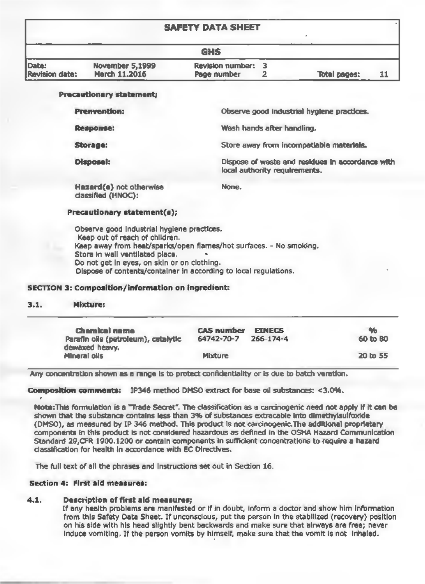### **SAFETY DATA SHEET**

| $\begin{array}{ccccccccccccccccc} \text{Lip} & \text{Lip} & \text{Lip} & \text{Lip} & \text{Lip} & \text{Lip} & \text{Lip} & \text{Lip} & \text{Lip} & \text{Lip} & \text{Lip} & \text{Lip} & \text{Lip} & \text{Lip} & \text{Lip} & \text{Lip} & \text{Lip} & \text{Lip} & \text{Lip} & \text{Lip} & \text{Lip} & \text{Lip} & \text{Lip} & \text{Lip} & \text{Lip} & \text{Lip} & \text{Lip} & \text{Lip} & \text{Lip} & \text{Lip}$<br>٠ |             |  |                     |  |  |  |  |
|---------------------------------------------------------------------------------------------------------------------------------------------------------------------------------------------------------------------------------------------------------------------------------------------------------------------------------------------------------------------------------------------------------------------------------------------|-------------|--|---------------------|--|--|--|--|
| <b>GHS</b>                                                                                                                                                                                                                                                                                                                                                                                                                                  |             |  |                     |  |  |  |  |
| November 5,1999                                                                                                                                                                                                                                                                                                                                                                                                                             |             |  |                     |  |  |  |  |
| March 11,2016                                                                                                                                                                                                                                                                                                                                                                                                                               | Page number |  | <b>Total pages:</b> |  |  |  |  |
|                                                                                                                                                                                                                                                                                                                                                                                                                                             |             |  | Revision number: 3  |  |  |  |  |

#### Precautionary statement;

**Prenvention:** 

Response:

Storage:

Disposal:

Hazard(s) net otherwise classified (HNOC):

None

Observe good industrial hygiene practices. Wash hands after handling. Store away from incompatiable materials. Dispose of waste and residues in accordance with local authority requirements.

#### Precautionary statement(s);

Observe good industrial hygiene practices. Keep out of reach of children. Keep away from heat/sparks/open flames/hot surfaces. - No smoking. Store in well ventilated place. Do not get in eyes, on skin or an clathing. Dispose of contents/container in according to local regulations.

#### SECTION 3: Composition/information on ingredient:

#### $3.1.$ Mixture:

| Chamical name                       | <b>CAS number</b> | <b>FINECS</b>   | $\mathcal{H}_{\mathbf{D}}$ |
|-------------------------------------|-------------------|-----------------|----------------------------|
| Parafin oils (petroleum), catalytic | 64742-70-7        | $266 - 174 - 4$ | 60 to 80                   |
| dewaxed heavy.                      |                   |                 |                            |
| Allneral oils                       | Mixture           |                 | 20 to 55                   |

Any concentration shown as a range is to protect confidentiality or is due to batch varation.

Composition comments: JP346 method OMSO extract for base oil substances: <3.0%.

Note:This formulation is a "Trade Secret". The classification as a carcinogenic need not apply if it can be shown that the substance contains less than 3% of substances extracable into dimethylsulfoxide (DMSO), as measured by IP 346 method. This product Is not carcinogenic.The additional proprietary components in this product is not considered hazardous as defined In the OSHA Hazard communication Standard 29, CFR 1900.1200 or contain components in sufficient concentrations to require a hazard classification for health in accordance with EC Directives.

The full text of all the phrases and instructions set out in Section 16.

#### Section 4: First aid measures:

#### $4.1$ Description of first ald measures;

If any health problems are manifested or if in doubt, inform a doctor and show him information from this Safety Data Sheet. If unconscious, put the person in the stabilized (recovery) position on his side with his head slightly bent backwards and make sure that alrways are free; never induce vomiting. If the person vomits by himself, make sure that the vomit is not inhaled.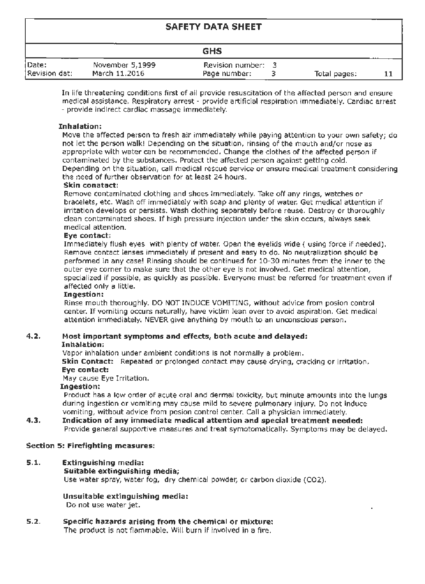### **SAFETY DATA SHEET**

|                        |                                  | <b>GHS</b>                       |              |  |
|------------------------|----------------------------------|----------------------------------|--------------|--|
| Date:<br>Revision dat: | November 5.1999<br>March 11.2016 | Revision number:<br>Page number: | Total pages: |  |

In life threatening conditions first of all provide resuscitation of the affected person and ensure medicalassistance.Respiratoryarrest- provideartificialrespirationimmediately. Cardiacarrest - provide indirect cardiac massage immediately.

#### Tobalation:

Move the affected person to fresh air immediately while paying attention to your own safety; do not let the person walk! Depending on the situation, rinsing of the mouth and/or nose as appropriate with wa ter can be recommended. Change the clothes of the affected person if contaminated by the substances. Protect the affected person against getting cold. Depending on the situation, call medical rescue service or ensure medical treatment considering the need of further observation for at least 24 hours.<br>Skin constant:

Remove contaminated clothing and shoes immediately. Take off any tings, watches or bracelets, etc. Wash off immediately with soap and plenty of water. Get medical attention if irritation develops or persists. Wash clothing separately before reuse. Destroy or thoroughly clean contaminated shoes. If high pressure injection under the skin occurs, always seek medical attention.

#### Eye contact:

Immediately flush eyes with plenty of water. Open the eyelids wide ( using force if needed), Remove contact lenses immediately if present and easy to do. No neutralization should be performed in any case! Rinsing should be continued for 10-30 minutes from the inner to the outer eye corner to make sure that the other eye is not involved. Get medical attention, specialized if possible, as quickly as possible. Everyone must be referred for treatment even if affected only a little.

### Ingestion:

Rinse mouth thoroughly. DO NOT INDUCE VOMITING, without adv;ce from posion control center. If vomiting occurs naturally, have victim lean over to avoid aspiration. Get medical attention immediately. NEVER give anything by mouth to an unconscious person.

#### 4.2. Most important symptoms and effects, both acute and delayed:

#### Inhalation:

Vapor inhalation under ambient conditions is not normally a problem. Skin Contact: Repeated or prolonged contact may cause drying, cracking or irritation. Eye contact:

May cause Eye Irritation.

#### Ingestion:

Product has a low order of acute oral and dermal toxicity, but minute amounts into the lungs during ingestion or vomiting may cause mild to severe pulmonary injury. Do not induce vomiting, without advice from posion control center. Call a physician immed;ately.

#### 4.3. Indication of any immediate medical attention and special treatment needed: Provide general supportive measures and treat symotomatically. Symptoms may be delayed.

#### Section S: Firefighting measures:

#### S.1. Extinguishing media:

#### Suitable extinguishing media:

Use water spray, water fog, dry chemical powder, or carbon dioxide (CO2).

#### Unsuitable extinguishing media: Do not use water jet.

#### $5.2.$ Specific hazards arising from the chemical or mixture: The product is not flammable. Will burn if involved in a fire.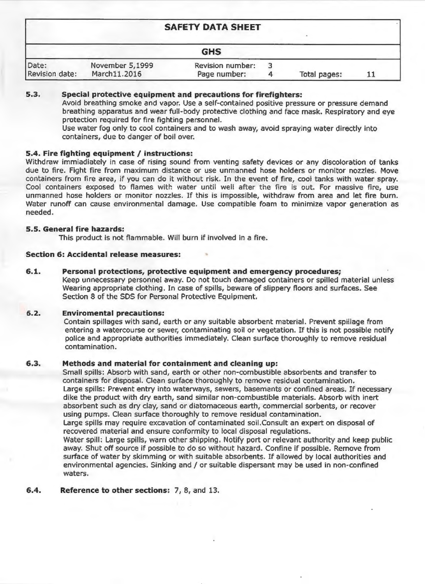| <b>SAFETY DATA SHEET</b> |                                 |                                         |  |              |  |
|--------------------------|---------------------------------|-----------------------------------------|--|--------------|--|
|                          |                                 | <b>GHS</b>                              |  |              |  |
| Date:<br>Revision date:  | November 5,1999<br>March11.2016 | <b>Revision number:</b><br>Page number: |  | Total pages: |  |

### $5.3.$ Special protective equipment and precautions for firefighters:

Avoid breathing smoke and vapor. Use a self-contained positive pressure or pressure demand breathing apparatus and wear full-body protective clothing and face mask. Respiratory and eye protection required for fire fighting personnel.

Use water fog only to cool containers and to wash away, avoid spraying water directly into containers, due to danger of boil over.

# 5.4. Fire fighting equipment / instructions:

Withdraw immiadiately in case of rising sound from venting safety devices or any discoloration of tanks due to fire. Fight fire from maximum distance or use unmanned hose holders or monitor nozzles. Move containers from fire area, if you can do it without risk. In the event of fire, cool tanks with water spray. Cool containers exposed to flames with water until well after the fire is out. For massive fire, use unmanned hose holders or monitor nozzles. If this is impossible, withdraw from area and let fire burn. Water runoff can cause environmental damage. Use compatible foam to minimize vapor generation as needed.

## 5.5. General fire hazards:

This product is not flammable. Will burn if involved in a fire.

# **Section 6: Accidental release measures:**

### $6.1.$ Personal protections, protective equipment and emergency procedures;

Keep unnecessary personnel away. Do not touch damaged containers or spilled material unless Wearing appropriate clothing. In case of spills, beware of slippery floors and surfaces. See Section 8 of the SDS for Personal Protective Equipment.

### $6.2.$ **Enviromental precautions:**

Contain spillages with sand, earth or any suitable absorbent material. Prevent spillage from entering a watercourse or sewer, contaminating soil or vegetation. If this is not possible notify police and appropriate authorities immediately. Clean surface thoroughly to remove residual contamination.

### $6,3,$ Methods and material for containment and cleaning up:

Small spills: Absorb with sand, earth or other non-combustible absorbents and transfer to containers for disposal. Clean surface thoroughly to remove residual contamination. Large spills: Prevent entry into waterways, sewers, basements or confined areas. If necessary dike the product with dry earth, sand similar non-combustible materials. Absorb with inert absorbent such as dry clay, sand or diatomaceous earth, commercial sorbents, or recover using pumps. Clean surface thoroughly to remove residual contamination.

Large spills may require excavation of contaminated soil. Consult an expert on disposal of recovered material and ensure conformity to local disposal regulations.

Water spill: Large spills, warn other shipping. Notify port or relevant authority and keep public away. Shut off source if possible to do so without hazard. Confine if possible. Remove from surface of water by skimming or with suitable absorbents. If allowed by local authorities and environmental agencies. Sinking and / or suitable dispersant may be used in non-confined waters.

Reference to other sections: 7, 8, and 13. 6.4.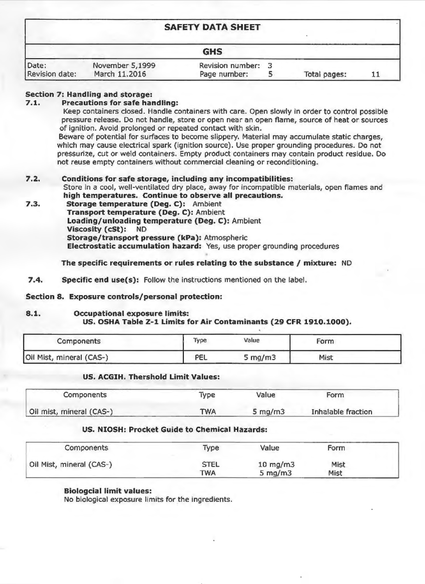| <b>SAFETY DATA SHEET</b>       |                                  |                                    |  |              |    |
|--------------------------------|----------------------------------|------------------------------------|--|--------------|----|
|                                |                                  | <b>GHS</b>                         |  |              |    |
| Date:<br><b>Revision date:</b> | November 5,1999<br>March 11.2016 | Revision number: 3<br>Page number: |  | Total pages: | 11 |

# Section 7: Handling and storage:

### $7.1.$ **Precautions for safe handling:**

Keep containers closed. Handle containers with care. Open slowly in order to control possible pressure release. Do not handle, store or open near an open flame, source of heat or sources of ignition. Avoid prolonged or repeated contact with skin.

Beware of potential for surfaces to become slippery. Material may accumulate static charges, which may cause electrical spark (ignition source). Use proper grounding procedures. Do not pressurize, cut or weld containers. Empty product containers may contain product residue. Do not reuse empty containers without commercial cleaning or reconditioning.

### $7.2.$ Conditions for safe storage, including any incompatibilities:

Store in a cool, well-ventilated dry place, away for incompatible materials, open flames and high temperatures. Continue to observe all precautions.

 $7.3.$ Storage temperature (Deg. C): Ambient Transport temperature (Deg. C): Ambient Loading/unloading temperature (Deg. C): Ambient Viscosity (cSt): ND Storage/transport pressure (kPa): Atmospheric Electrostatic accumulation hazard: Yes, use proper grounding procedures

The specific requirements or rules relating to the substance / mixture: ND

 $7.4.$ **Specific end use(s):** Follow the instructions mentioned on the label.

Section 8. Exposure controls/personal protection:

### $8.1.$ Occupational exposure limits: US. OSHA Table Z-1 Limits for Air Contaminants (29 CFR 1910.1000).

| <b>Components</b>        | Type | Value     | Form |  |
|--------------------------|------|-----------|------|--|
| Oil Mist, mineral (CAS-) | PEL  | 5 $mg/m3$ | Mist |  |

# US. ACGIH. Thershold Limit Values:

| Components               | <b>Type</b> | Value      | Form               |
|--------------------------|-------------|------------|--------------------|
| Oil mist, mineral (CAS-) | TWA         | 5 mg/m $3$ | Inhalable fraction |

## US. NIOSH: Procket Guide to Chemical Hazards:

| Components               | <b>Type</b> | Value       | <b>Form</b> |  |
|--------------------------|-------------|-------------|-------------|--|
| Oil Mist, mineral (CAS-) | <b>STEL</b> | 10 mg/m $3$ | <b>Mist</b> |  |
|                          | TWA         | 5 $mg/m3$   | <b>Mist</b> |  |

## **Biologcial limit values:** No biological exposure limits for the ingredients.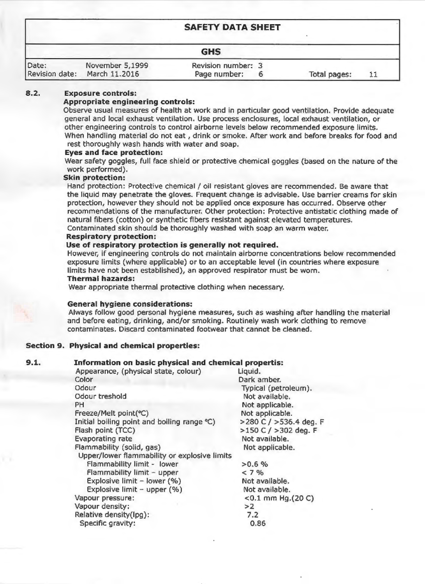| <b>SAFETY DATA SHEET</b> |                                  |                                    |  |              |    |
|--------------------------|----------------------------------|------------------------------------|--|--------------|----|
|                          |                                  | <b>GHS</b>                         |  |              |    |
| Date:<br>Revision date:  | November 5,1999<br>March 11.2016 | Revision number: 3<br>Page number: |  | Total pages: | 11 |

### $8.2.$ **Exposure controls:**

## Appropriate engineering controls:

Observe usual measures of health at work and in particular good ventilation. Provide adequate general and local exhaust ventilation. Use process enclosures, local exhaust ventilation, or other engineering controls to control airborne levels below recommended exposure limits. When handling material do not eat, drink or smoke. After work and before breaks for food and rest thoroughly wash hands with water and soap.

# **Eyes and face protection:**

Wear safety goggles, full face shield or protective chemical goggles (based on the nature of the work performed).

## **Skin protection:**

Hand protection: Protective chemical / oil resistant gloves are recommended. Be aware that the liquid may penetrate the gloves. Frequent change is advisable. Use barrier creams for skin protection, however they should not be applied once exposure has occurred. Observe other recommendations of the manufacturer. Other protection: Protective antistatic clothing made of natural fibers (cotton) or synthetic fibers resistant against elevated temperatures.

Contaminated skin should be thoroughly washed with soap an warm water.

# **Respiratory protection:**

## Use of respiratory protection is generally not required.

However, if engineering controls do not maintain airborne concentrations below recommended exposure limits (where applicable) or to an acceptable level (in countries where exposure limits have not been established), an approved respirator must be worn.

## **Thermal hazards:**

Wear appropriate thermal protective clothing when necessary.

# **General hygiene considerations:**

Always follow good personal hygiene measures, such as washing after handling the material and before eating, drinking, and/or smoking. Routinely wash work clothing to remove contaminates. Discard contaminated footwear that cannot be cleaned.

# **Section 9. Physical and chemical properties:**

### $9.1.$ Information on basic physical and chemical propertis:

Appearance, (physical state, colour) Color Odour Odour treshold PH Freeze/Melt point(°C) Initial boiling point and boiling range °C) Flash point (TCC) **Evaporating rate** Flammability (solid, gas)

Liquid. Dark amber. Typical (petroleum). Not available. Not applicable. Not applicable.  $>$  280 C /  $>$  536.4 deg. F  $>150$  C /  $>302$  deg. F Not available. Not applicable.  $>0.6\%$  $< 7\%$ Not available. Not available. <0.1 mm Hg.  $(20 C)$  $>2$  $7.2$ 0.86

Upper/lower flammability or explosive limits Flammability limit - lower Flammability limit - upper Explosive limit  $-$  lower (%) Explosive limit - upper (%) Vapour pressure: Vapour density: Relative density(lpg): Specific gravity: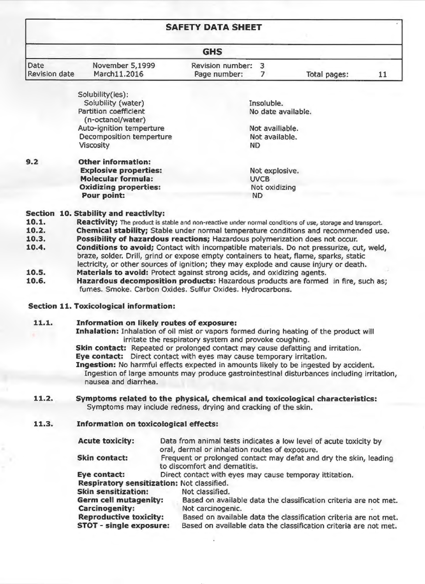| <b>SAFETY DATA SHEET</b>     |                                                                                                                    |                                                       |                 |                    |    |
|------------------------------|--------------------------------------------------------------------------------------------------------------------|-------------------------------------------------------|-----------------|--------------------|----|
|                              |                                                                                                                    | <b>GHS</b>                                            |                 |                    |    |
| <b>Date</b><br>Revision date | November 5,1999<br>March11.2016                                                                                    | Revision number:<br>Page number:                      | 3               | Total pages:       | 11 |
|                              | Solubility(ies):                                                                                                   |                                                       |                 |                    |    |
|                              | Solubility (water)                                                                                                 |                                                       | Insoluble.      |                    |    |
|                              | Partition coefficient                                                                                              |                                                       |                 | No date available. |    |
|                              | (n-octanol/water)                                                                                                  |                                                       |                 |                    |    |
|                              | Auto-ignition temperture                                                                                           |                                                       | Not availiable. |                    |    |
|                              | Decomposition temperture                                                                                           |                                                       | Not available.  |                    |    |
|                              | <b>Viscosity</b>                                                                                                   |                                                       | ND              |                    |    |
| 9.2                          | <b>Other information:</b>                                                                                          |                                                       |                 |                    |    |
|                              | <b>Explosive properties:</b>                                                                                       |                                                       | Not explosive.  |                    |    |
|                              | <b>Molecular formula:</b>                                                                                          |                                                       | <b>UVCB</b>     |                    |    |
|                              | <b>Oxidizing properties:</b>                                                                                       |                                                       | Not oxidizing   |                    |    |
|                              | Pour point:                                                                                                        |                                                       | <b>ND</b>       |                    |    |
|                              | Section 10. Stability and reactivity:                                                                              |                                                       |                 |                    |    |
| 10.1.                        | Reactivity; The product is stable and non-reactive under normal conditions of use, storage and transport.          |                                                       |                 |                    |    |
| 10.2.                        | Chemical stability; Stable under normal temperature conditions and recommended use.                                |                                                       |                 |                    |    |
| 10.3.                        | Possibility of hazardous reactions; Hazardous polymerization does not occur.                                       |                                                       |                 |                    |    |
| 10.4.                        | Conditions to avoid; Contact with incompatible materials. Do not pressurize, cut, weld,                            |                                                       |                 |                    |    |
|                              | braze, solder. Drill, grind or expose empty containers to heat, flame, sparks, static                              |                                                       |                 |                    |    |
|                              | lectricity, or other sources of ignition; they may explode and cause injury or death.                              |                                                       |                 |                    |    |
| 10.5.                        | Materials to avoid: Protect against strong acids, and oxidizing agents.                                            |                                                       |                 |                    |    |
| 10.6.                        | Hazardous decomposition products: Hazardous products are formed in fire, such as;                                  |                                                       |                 |                    |    |
|                              | fumes. Smoke. Carbon Oxides. Sulfur Oxides. Hydrocarbons.                                                          |                                                       |                 |                    |    |
|                              | <b>Section 11. Toxicological information:</b>                                                                      |                                                       |                 |                    |    |
| 11.1.                        | Information on likely routes of exposure:                                                                          |                                                       |                 |                    |    |
|                              | Inhalation: Inhalation of oil mist or vapors formed during heating of the product will                             | irritate the respiratory system and provoke coughing. |                 |                    |    |
|                              | <b>Skin contact:</b> Repeated or prolonged contact may cause defatting and irritation.                             |                                                       |                 |                    |    |
|                              | Eye contact: Direct contact with eyes may cause temporary irritation.                                              |                                                       |                 |                    |    |
|                              | Ingestion: No harmful effects expected in amounts likely to be ingested by accident.                               |                                                       |                 |                    |    |
|                              | Ingestion of large amounts may produce gastrointestinal disturbances including irritation,<br>nausea and diarrhea. |                                                       |                 |                    |    |
| 11.2.                        | Symptoms related to the physical, chemical and toxicological characteristics:                                      |                                                       |                 |                    |    |
|                              | Symptoms may include redness, drying and cracking of the skin.                                                     |                                                       |                 |                    |    |

### Information on toxicological effects: 11.3.

**Acute toxicity:** 

Data from animal tests indicates a low level of acute toxicity by oral, dermal or inhalation routes of exposure.

## Skin contact:

Eye contact: Respiratory sensitization: Not classified.

**Skin sensitization:** Germ cell mutagenity: **Carcinogenity: Reproductive toxicity:** STOT - single exposure:

Frequent or prolonged contact may defat and dry the skin, leading to discomfort and dematitis.

Direct contact with eyes may cause temporay ittitation.

Not classified.

Based on available data the classification criteria are not met. Not carcinogenic.

Based on available data the classification criteria are not met. Based on available data the classification criteria are not met.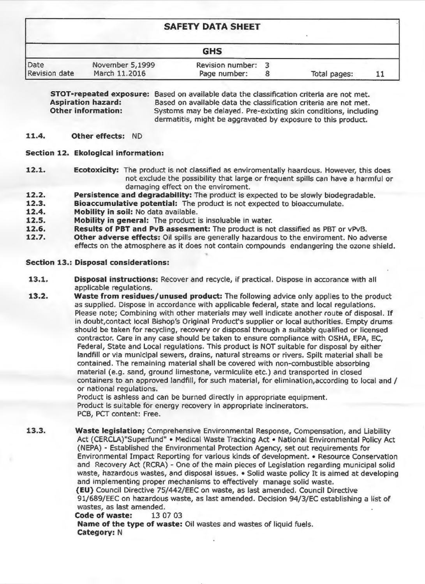|               |                 | <b>SAFETY DATA SHEET</b> |              |  |
|---------------|-----------------|--------------------------|--------------|--|
|               |                 | <b>GHS</b>               |              |  |
| Date          | November 5,1999 | <b>Revision number:</b>  |              |  |
| Revision date | March 11.2016   | Page number:             | Total pages: |  |

**STOT-repeated exposure:** Based on available data the classification criteria are not met. **Aspiration hazard:** Based on available data the classification criteria are not met. **Other information:** Systoms may be delayed. Pre-exixting skin conditions, including dermatitis, might be aggravated by exposure to this product.

### 11.4. **Other effects: ND**

# Section 12. Ekological information:

- $12.1.$ **Ecotoxicity:** The product is not classified as enviromentally haardous. However, this does not exclude the possibility that large or frequent spills can have a harmful or damaging effect on the enviroment.
- $12.2.$ Persistence and degradability: The product is expected to be slowly biodegradable.
- $12.3.$ **Bioaccumulative potential:** The product is not expected to bioaccumulate.
- $12.4.$ Mobility in soil: No data available.
- $12.5.$ Mobility in general: The product is insoluable in water.
- Results of PBT and PvB assesment: The product is not classified as PBT or vPvB. 12.6.
- 12.7. Other adverse effects: Oil spills are generally hazardous to the enviroment. No adverse effects on the atmosphere as it does not contain compounds endangering the ozone shield.

# **Section 13.: Disposal considerations:**

- $13.1.$ **Disposal instructions:** Recover and recycle, if practical. Dispose in accorance with all applicable regulations.
- $13.2.$ Waste from residues/unused product: The following advice only applies to the product as supplied. Dispose in accordance with applicable federal, state and local requlations. Please note; Combining with other materials may well indicate another route of disposal. If in doubt, contact local Bishop's Original Product's supplier or local authorities. Empty drums should be taken for recycling, recovery or disposal through a suitably qualified or licensed contractor. Care in any case should be taken to ensure compliance with OSHA, EPA, EC, Federal, State and Local regulations. This product is NOT suitable for disposal by either landfill or via municipal sewers, drains, natural streams or rivers. Spilt material shall be contained. The remaining material shall be covered with non-combustible absorbing material (e.g. sand, ground limestone, vermiculite etc.) and transported in closed containers to an approved landfill, for such material, for elimination, according to local and / or national regulations. Product is ashless and can be burned directly in appropriate equipment.

Product is suitable for energy recovery in appropriate incinerators. PCB, PCT content: Free.

13.3. Waste legislation; Comprehensive Environmental Response, Compensation, and Liability Act (CERCLA)"Superfund" • Medical Waste Tracking Act • National Environmental Policy Act (NEPA) - Established the Environmental Protection Agency, set out requirements for

Environmental Impact Reporting for various kinds of development. • Resource Conservation and Recovery Act (RCRA) - One of the main pieces of Legislation regarding municipal solid waste, hazardous wastes, and disposal issues. • Solid waste policy It is aimed at developing and implementing proper mechanisms to effectively manage solid waste. (EU) Council Directive 75/442/EEC on waste, as last amended. Council Directive 91/689/EEC on hazardous waste, as last amended. Decision 94/3/EC establishing a list of wastes, as last amended. Code of waste: 13 07 03 Name of the type of waste: Oil wastes and wastes of liquid fuels. **Category: N**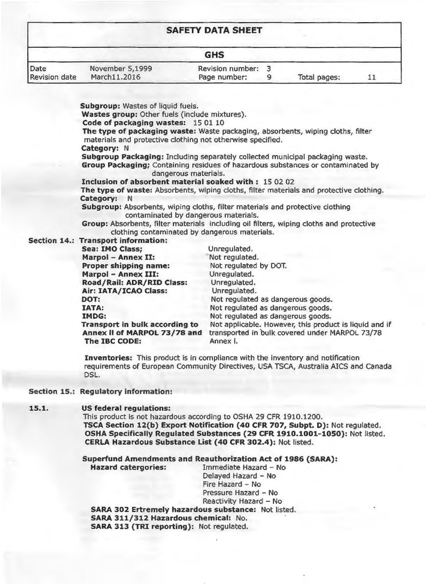| <b>SAFETY DATA SHEET</b>     |                                 |                                         |  |              |  |  |
|------------------------------|---------------------------------|-----------------------------------------|--|--------------|--|--|
|                              |                                 | <b>GHS</b>                              |  |              |  |  |
| Date<br><b>Revision date</b> | November 5,1999<br>March11.2016 | <b>Revision number:</b><br>Page number: |  | Total pages: |  |  |

Subgroup: Wastes of liquid fuels.

Wastes group: Other fuels (include mixtures).

Code of packaging wastes: 15 01 10

The type of packaging waste: Waste packaging, absorbents, wiping cloths, filter materials and protective clothing not otherwise specified.

Category: N

Subgroup Packaging: Including separately collected municipal packaging waste. **Group Packaging:** Containing residues of hazardous substances or contaminated by dangerous materials.

Inclusion of absorbent material soaked with: 150202

The type of waste: Absorbents, wiping cloths, filter materials and protective clothing. Category: N

Subgroup: Absorbents, wiping cloths, filter materials and protective clothing contaminated by dangerous materials.

Group: Absorbents, filter materials including oil filters, wiping cloths and protective clothing contaminated by dangerous materials.

## Section 14.: Transport information:

| Sea: IMO Class;                               | Unrequlated.                                               |
|-----------------------------------------------|------------------------------------------------------------|
| Marpol - Annex II:                            | Not requiated.                                             |
| Proper shipping name:                         | Not regulated by DOT.                                      |
| <b>Marpol - Annex III:</b>                    | Unregulated.                                               |
| Road/Rail: ADR/RID Class:                     | Unregulated.                                               |
| Air: IATA/ICAO Class:                         | Unregulated.                                               |
| DOT:                                          | Not regulated as dangerous goods.                          |
| <b>IATA:</b>                                  | Not regulated as dangerous goods.                          |
| <b>IMDG:</b>                                  | Not regulated as dangerous goods.                          |
| Transport in bulk according to                | Not applicable. However, this product is liquid and if     |
| Annex II of MARPOL 73/78 and<br>The IBC CODE: | transported in bulk covered under MARPOL 73/78<br>Annex I. |
|                                               |                                                            |

**Inventories:** This product is in compliance with the inventory and notification requirements of European Community Directives, USA TSCA, Australia AICS and Canada DSL.

## Section 15.: Regulatory information:

### 15.1. US federal regulations:

This product is not hazardous according to OSHA 29 CFR 1910.1200. TSCA Section 12(b) Export Notification (40 CFR 707, Subpt. D): Not regulated. OSHA Specifically Regulated Substances (29 CFR 1910.1001-1050): Not listed. CERLA Hazardous Substance List (40 CFR 302.4): Not listed.

### **Superfund Amendments and Reauthorization Act of 1986 (SARA):** Immediate Hazard - No **Hazard catergories:** Delayed Hazard - No Fire Hazard - No Pressure Hazard - No Reactivity Hazard - No SARA 302 Ertremely hazardous substance: Not listed. SARA 311/312 Hazardous chemical: No.

SARA 313 (TRI reporting): Not regulated.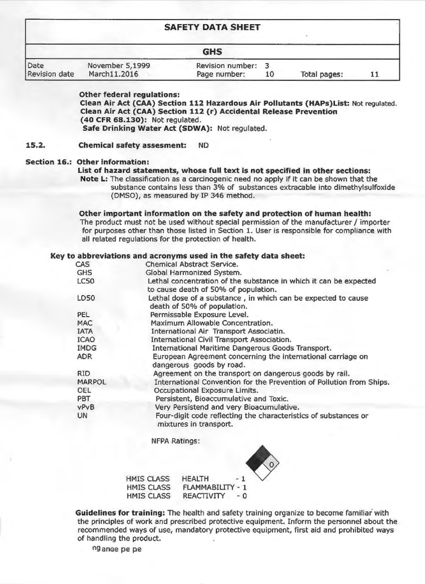| <b>SAFETY DATA SHEET</b><br><b>GHS</b> |  |  |  |  |  |  |
|----------------------------------------|--|--|--|--|--|--|
|                                        |  |  |  |  |  |  |

**Other federal regulations:** Clean Air Act (CAA) Section 112 Hazardous Air Pollutants (HAPs) List: Not regulated. Clean Air Act (CAA) Section 112 (r) Accidental Release Prevention (40 CFR 68.130): Not requiated. Safe Drinking Water Act (SDWA): Not regulated.

 $15.2.$ **Chemical safety assesment:** ND.

### **Section 16.: Other information:**

### List of hazard statements, whose full text is not specified in other sections:

Note L: The classification as a carcinogenic need no apply if it can be shown that the substance contains less than 3% of substances extracable into dimethylsulfoxide (DMSO), as measured by IP 346 method.

### Other important information on the safety and protection of human health:

The product must not be used without special permission of the manufacturer / importer for purposes other than those listed in Section 1. User is responsible for compliance with all related regulations for the protection of health.

### Key to abbreviations and acronyms used in the safety data sheet:

| <b>CAS</b>    | <b>Chemical Abstract Service.</b>                                                                         |
|---------------|-----------------------------------------------------------------------------------------------------------|
| <b>GHS</b>    | Global Harmonized System.                                                                                 |
| <b>LC50</b>   | Lethal concentration of the substance in which it can be expected<br>to cause death of 50% of population. |
| <b>LD50</b>   | Lethal dose of a substance, in which can be expected to cause<br>death of 50% of population.              |
| PEL.          | Permissable Exposure Level.                                                                               |
| <b>MAC</b>    | Maximum Allowable Concentration.                                                                          |
| <b>IATA</b>   | International Air Transport Associatin.                                                                   |
| <b>ICAO</b>   | International Civil Transport Association.                                                                |
| <b>IMDG</b>   | International Maritime Dangerous Goods Transport.                                                         |
| <b>ADR</b>    | European Agreement concerning the international carriage on<br>dangerous goods by road.                   |
| <b>RID</b>    | Agreement on the transport on dangerous goods by rail.                                                    |
| <b>MARPOL</b> | International Convention for the Prevention of Pollution from Ships.                                      |
| <b>OEL</b>    | Occupational Exposure Limits.                                                                             |
| <b>PBT</b>    | Persistent, Bioaccumulative and Toxic.                                                                    |
| <b>VPVB</b>   | Very Persistend and very Bioacumulative.                                                                  |
| <b>UN</b>     | Four-digit code reflecting the characteristics of substances or<br>mixtures in transport.                 |

**NFPA Ratings:** 





Guidelines for training: The health and safety training organize to become familiar with the principles of work and prescribed protective equipment. Inform the personnel about the recommended ways of use, mandatory protective equipment, first aid and prohibited ways of handling the product.

ng ange pe pe